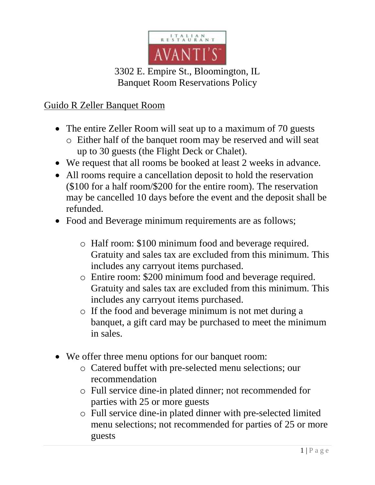

## 3302 E. Empire St., Bloomington, IL Banquet Room Reservations Policy

## Guido R Zeller Banquet Room

- The entire Zeller Room will seat up to a maximum of 70 guests
	- o Either half of the banquet room may be reserved and will seat up to 30 guests (the Flight Deck or Chalet).
- We request that all rooms be booked at least 2 weeks in advance.
- All rooms require a cancellation deposit to hold the reservation (\$100 for a half room/\$200 for the entire room). The reservation may be cancelled 10 days before the event and the deposit shall be refunded.
- Food and Beverage minimum requirements are as follows;
	- o Half room: \$100 minimum food and beverage required. Gratuity and sales tax are excluded from this minimum. This includes any carryout items purchased.
	- o Entire room: \$200 minimum food and beverage required. Gratuity and sales tax are excluded from this minimum. This includes any carryout items purchased.
	- o If the food and beverage minimum is not met during a banquet, a gift card may be purchased to meet the minimum in sales.
- We offer three menu options for our banquet room:
	- o Catered buffet with pre-selected menu selections; our recommendation
	- o Full service dine-in plated dinner; not recommended for parties with 25 or more guests
	- o Full service dine-in plated dinner with pre-selected limited menu selections; not recommended for parties of 25 or more guests